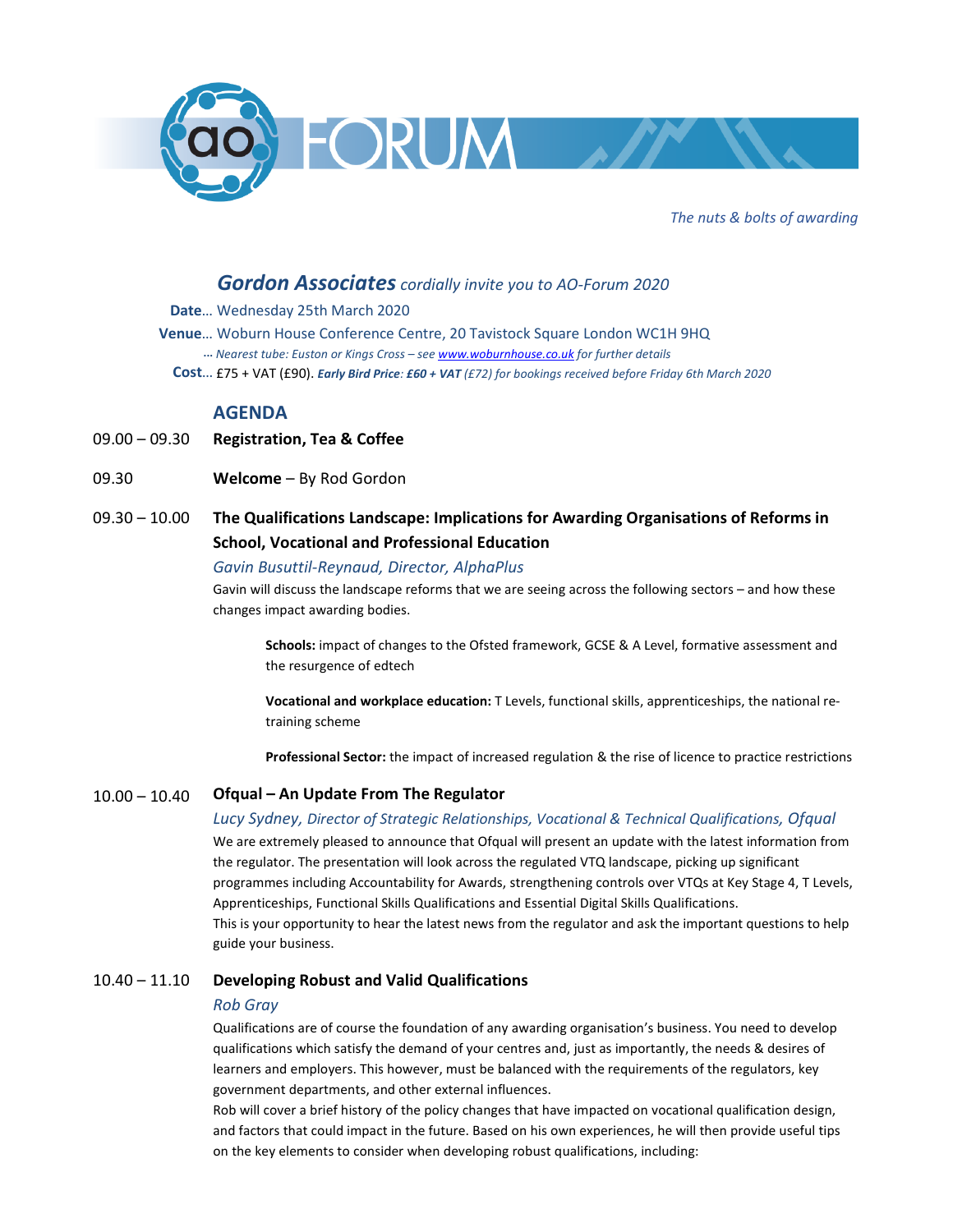

*The nuts & bolts of awarding* 

# *Gordon Associates cordially invite you to AO-Forum 2020*

- **Date**… Wednesday 25th March 2020
- **Venue**… Woburn House Conference Centre, 20 Tavistock Square London WC1H 9HQ  **...**  *Nearest tube: Euston or Kings Cross – see www.woburnhouse.co.uk for further details*  **Cost**… £75 + VAT (£90). *Early Bird Price: £60 + VAT (£72) for bookings received before Friday 6th March 2020*

## **AGENDA**

- $09.00 09.30$ **Registration, Tea & Coffee**
- 09.30 **Welcome** – By Rod Gordon
- 09.30 10.00 **The Qualifications Landscape: Implications for Awarding Organisations of Reforms in School, Vocational and Professional Education**

## *Gavin Busuttil-Reynaud, Director, AlphaPlus*

Gavin will discuss the landscape reforms that we are seeing across the following sectors – and how these changes impact awarding bodies.

**Schools:** impact of changes to the Ofsted framework, GCSE & A Level, formative assessment and the resurgence of edtech

**Vocational and workplace education:** T Levels, functional skills, apprenticeships, the national retraining scheme

**Professional Sector:** the impact of increased regulation & the rise of licence to practice restrictions

#### $10.00 - 10.40$ **Ofqual – An Update From The Regulator**

*Lucy Sydney, Director of Strategic Relationships, Vocational & Technical Qualifications, Ofqual*  We are extremely pleased to announce that Ofqual will present an update with the latest information from the regulator. The presentation will look across the regulated VTQ landscape, picking up significant programmes including Accountability for Awards, strengthening controls over VTQs at Key Stage 4, T Levels, Apprenticeships, Functional Skills Qualifications and Essential Digital Skills Qualifications. This is your opportunity to hear the latest news from the regulator and ask the important questions to help guide your business.

### 10.40 – 11.10 **Developing Robust and Valid Qualifications**

### *Rob Gray*

Qualifications are of course the foundation of any awarding organisation's business. You need to develop qualifications which satisfy the demand of your centres and, just as importantly, the needs & desires of learners and employers. This however, must be balanced with the requirements of the regulators, key government departments, and other external influences.

Rob will cover a brief history of the policy changes that have impacted on vocational qualification design, and factors that could impact in the future. Based on his own experiences, he will then provide useful tips on the key elements to consider when developing robust qualifications, including: